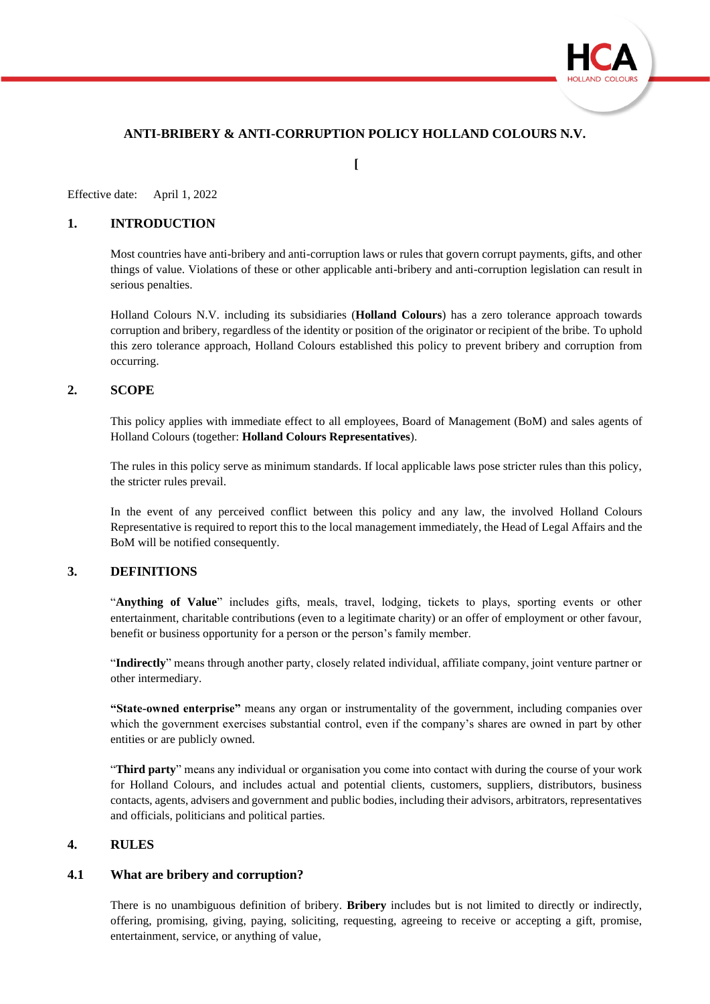

# **ANTI-BRIBERY & ANTI-CORRUPTION POLICY HOLLAND COLOURS N.V.**

**[**

Effective date: April 1, 2022

## **1. INTRODUCTION**

Most countries have anti-bribery and anti-corruption laws or rules that govern corrupt payments, gifts, and other things of value. Violations of these or other applicable anti-bribery and anti-corruption legislation can result in serious penalties.

Holland Colours N.V. including its subsidiaries (**Holland Colours**) has a zero tolerance approach towards corruption and bribery, regardless of the identity or position of the originator or recipient of the bribe. To uphold this zero tolerance approach, Holland Colours established this policy to prevent bribery and corruption from occurring.

#### **2. SCOPE**

This policy applies with immediate effect to all employees, Board of Management (BoM) and sales agents of Holland Colours (together: **Holland Colours Representatives**).

The rules in this policy serve as minimum standards. If local applicable laws pose stricter rules than this policy, the stricter rules prevail.

In the event of any perceived conflict between this policy and any law, the involved Holland Colours Representative is required to report this to the local management immediately, the Head of Legal Affairs and the BoM will be notified consequently.

#### **3. DEFINITIONS**

"**Anything of Value**" includes gifts, meals, travel, lodging, tickets to plays, sporting events or other entertainment, charitable contributions (even to a legitimate charity) or an offer of employment or other favour, benefit or business opportunity for a person or the person's family member.

"**Indirectly**" means through another party, closely related individual, affiliate company, joint venture partner or other intermediary.

**"State-owned enterprise"** means any organ or instrumentality of the government, including companies over which the government exercises substantial control, even if the company's shares are owned in part by other entities or are publicly owned.

"**Third party**" means any individual or organisation you come into contact with during the course of your work for Holland Colours, and includes actual and potential clients, customers, suppliers, distributors, business contacts, agents, advisers and government and public bodies, including their advisors, arbitrators, representatives and officials, politicians and political parties.

#### **4. RULES**

#### **4.1 What are bribery and corruption?**

There is no unambiguous definition of bribery. **Bribery** includes but is not limited to directly or indirectly, offering, promising, giving, paying, soliciting, requesting, agreeing to receive or accepting a gift, promise, entertainment, service, or anything of value,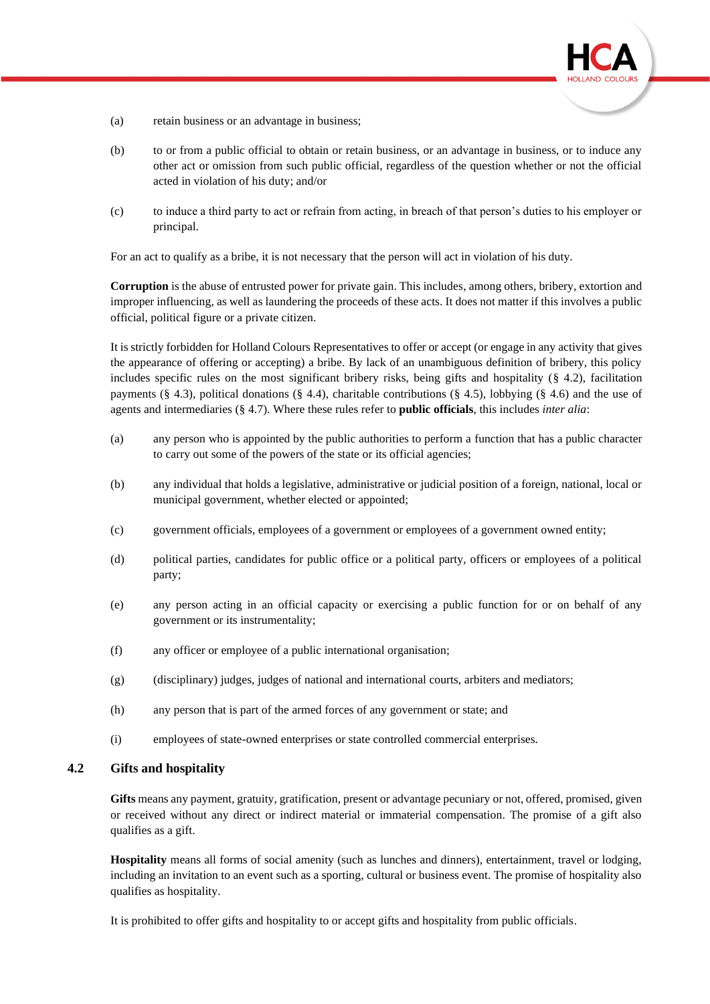

- (a) retain business or an advantage in business;
- (b) to or from a public official to obtain or retain business, or an advantage in business, or to induce any other act or omission from such public official, regardless of the question whether or not the official acted in violation of his duty; and/or
- (c) to induce a third party to act or refrain from acting, in breach of that person's duties to his employer or principal.

For an act to qualify as a bribe, it is not necessary that the person will act in violation of his duty.

**Corruption** is the abuse of entrusted power for private gain. This includes, among others, bribery, extortion and improper influencing, as well as laundering the proceeds of these acts. It does not matter if this involves a public official, political figure or a private citizen.

It is strictly forbidden for Holland Colours Representatives to offer or accept (or engage in any activity that gives the appearance of offering or accepting) a bribe. By lack of an unambiguous definition of bribery, this policy includes specific rules on the most significant bribery risks, being gifts and hospitality  $(\S$  4.2), facilitation payments (§ 4.3), political donations (§ 4.4), charitable contributions (§ 4.5), lobbying (§ 4.6) and the use of agents and intermediaries (§ 4.7). Where these rules refer to **public officials**, this includes *inter alia*:

- (a) any person who is appointed by the public authorities to perform a function that has a public character to carry out some of the powers of the state or its official agencies;
- (b) any individual that holds a legislative, administrative or judicial position of a foreign, national, local or municipal government, whether elected or appointed;
- (c) government officials, employees of a government or employees of a government owned entity;
- (d) political parties, candidates for public office or a political party, officers or employees of a political party;
- (e) any person acting in an official capacity or exercising a public function for or on behalf of any government or its instrumentality;
- (f) any officer or employee of a public international organisation;
- (g) (disciplinary) judges, judges of national and international courts, arbiters and mediators;
- (h) any person that is part of the armed forces of any government or state; and
- (i) employees of state-owned enterprises or state controlled commercial enterprises.

#### **4.2 Gifts and hospitality**

**Gifts** means any payment, gratuity, gratification, present or advantage pecuniary or not, offered, promised, given or received without any direct or indirect material or immaterial compensation. The promise of a gift also qualifies as a gift.

**Hospitality** means all forms of social amenity (such as lunches and dinners), entertainment, travel or lodging, including an invitation to an event such as a sporting, cultural or business event. The promise of hospitality also qualifies as hospitality.

It is prohibited to offer gifts and hospitality to or accept gifts and hospitality from public officials.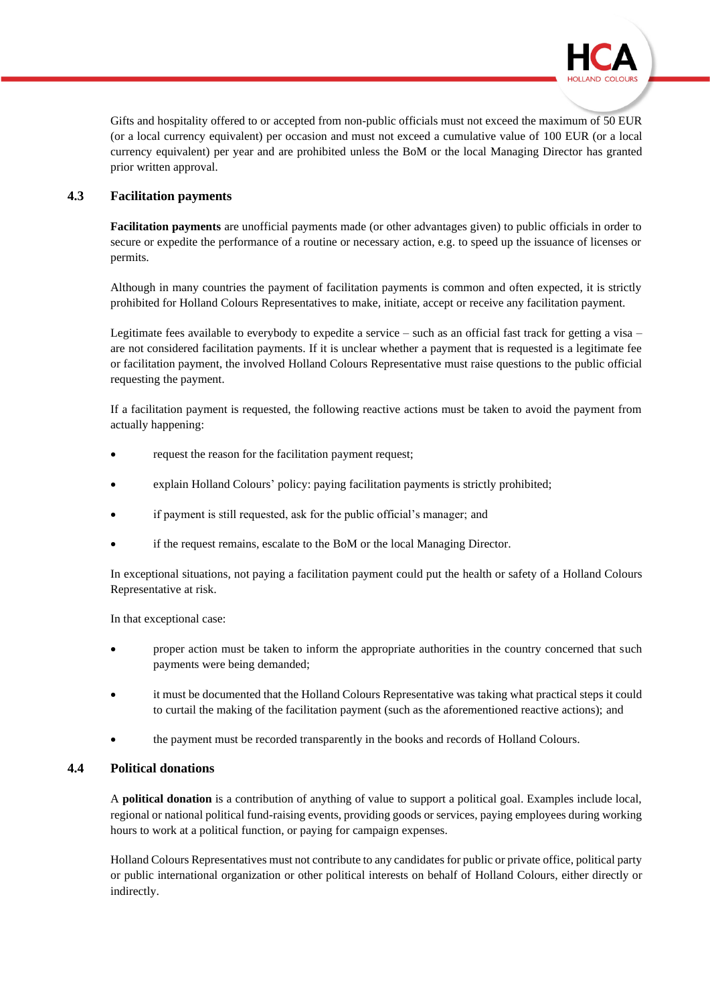

Gifts and hospitality offered to or accepted from non-public officials must not exceed the maximum of 50 EUR (or a local currency equivalent) per occasion and must not exceed a cumulative value of 100 EUR (or a local currency equivalent) per year and are prohibited unless the BoM or the local Managing Director has granted prior written approval.

# **4.3 Facilitation payments**

**Facilitation payments** are unofficial payments made (or other advantages given) to public officials in order to secure or expedite the performance of a routine or necessary action, e.g. to speed up the issuance of licenses or permits.

Although in many countries the payment of facilitation payments is common and often expected, it is strictly prohibited for Holland Colours Representatives to make, initiate, accept or receive any facilitation payment.

Legitimate fees available to everybody to expedite a service – such as an official fast track for getting a visa – are not considered facilitation payments. If it is unclear whether a payment that is requested is a legitimate fee or facilitation payment, the involved Holland Colours Representative must raise questions to the public official requesting the payment.

If a facilitation payment is requested, the following reactive actions must be taken to avoid the payment from actually happening:

- request the reason for the facilitation payment request;
- explain Holland Colours' policy: paying facilitation payments is strictly prohibited;
- if payment is still requested, ask for the public official's manager; and
- if the request remains, escalate to the BoM or the local Managing Director.

In exceptional situations, not paying a facilitation payment could put the health or safety of a Holland Colours Representative at risk.

In that exceptional case:

- proper action must be taken to inform the appropriate authorities in the country concerned that such payments were being demanded;
- it must be documented that the Holland Colours Representative was taking what practical steps it could to curtail the making of the facilitation payment (such as the aforementioned reactive actions); and
- the payment must be recorded transparently in the books and records of Holland Colours.

# **4.4 Political donations**

A **political donation** is a contribution of anything of value to support a political goal. Examples include local, regional or national political fund-raising events, providing goods or services, paying employees during working hours to work at a political function, or paying for campaign expenses.

Holland Colours Representatives must not contribute to any candidates for public or private office, political party or public international organization or other political interests on behalf of Holland Colours, either directly or indirectly.